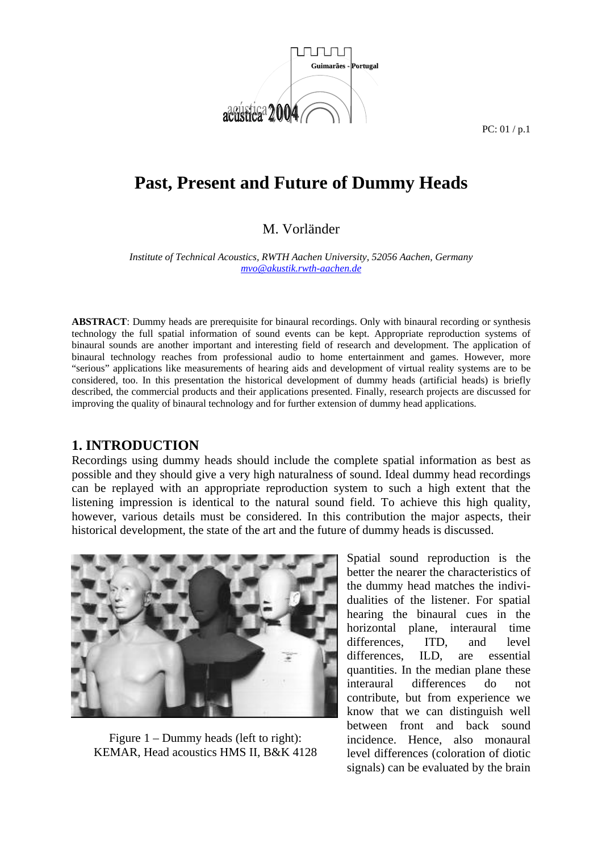

# **Past, Present and Future of Dummy Heads**

### M. Vorländer

*Institute of Technical Acoustics, RWTH Aachen University, 52056 Aachen, Germany mvo@akustik.rwth-aachen.de* 

**ABSTRACT**: Dummy heads are prerequisite for binaural recordings. Only with binaural recording or synthesis technology the full spatial information of sound events can be kept. Appropriate reproduction systems of binaural sounds are another important and interesting field of research and development. The application of binaural technology reaches from professional audio to home entertainment and games. However, more "serious" applications like measurements of hearing aids and development of virtual reality systems are to be considered, too. In this presentation the historical development of dummy heads (artificial heads) is briefly described, the commercial products and their applications presented. Finally, research projects are discussed for improving the quality of binaural technology and for further extension of dummy head applications.

#### **1. INTRODUCTION**

Recordings using dummy heads should include the complete spatial information as best as possible and they should give a very high naturalness of sound. Ideal dummy head recordings can be replayed with an appropriate reproduction system to such a high extent that the listening impression is identical to the natural sound field. To achieve this high quality, however, various details must be considered. In this contribution the major aspects, their historical development, the state of the art and the future of dummy heads is discussed.



Figure 1 – Dummy heads (left to right): KEMAR, Head acoustics HMS II, B&K 4128

Spatial sound reproduction is the better the nearer the characteristics of the dummy head matches the individualities of the listener. For spatial hearing the binaural cues in the horizontal plane, interaural time differences, ITD, and level differences, ILD, are essential quantities. In the median plane these interaural differences do not contribute, but from experience we know that we can distinguish well between front and back sound incidence. Hence, also monaural level differences (coloration of diotic signals) can be evaluated by the brain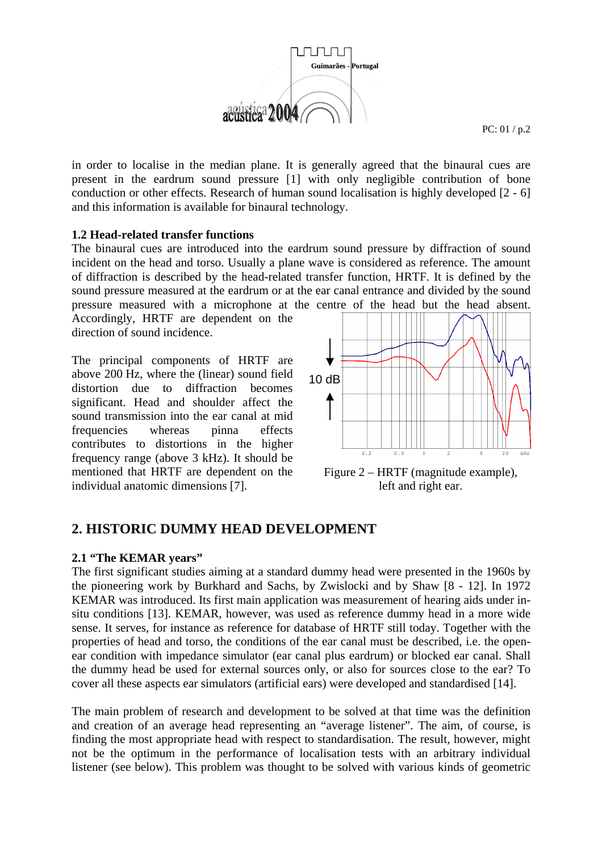

in order to localise in the median plane. It is generally agreed that the binaural cues are present in the eardrum sound pressure [1] with only negligible contribution of bone conduction or other effects. Research of human sound localisation is highly developed [2 - 6] and this information is available for binaural technology.

#### **1.2 Head-related transfer functions**

The binaural cues are introduced into the eardrum sound pressure by diffraction of sound incident on the head and torso. Usually a plane wave is considered as reference. The amount of diffraction is described by the head-related transfer function, HRTF. It is defined by the sound pressure measured at the eardrum or at the ear canal entrance and divided by the sound

pressure measured with a microphone at the centre of the head but the head absent. Accordingly, HRTF are dependent on the direction of sound incidence.

The principal components of HRTF are above 200 Hz, where the (linear) sound field distortion due to diffraction becomes significant. Head and shoulder affect the sound transmission into the ear canal at mid frequencies whereas pinna effects contributes to distortions in the higher frequency range (above 3 kHz). It should be mentioned that HRTF are dependent on the individual anatomic dimensions [7].



Figure 2 – HRTF (magnitude example), left and right ear.

### **2. HISTORIC DUMMY HEAD DEVELOPMENT**

#### **2.1 "The KEMAR years"**

The first significant studies aiming at a standard dummy head were presented in the 1960s by the pioneering work by Burkhard and Sachs, by Zwislocki and by Shaw [8 - 12]. In 1972 KEMAR was introduced. Its first main application was measurement of hearing aids under insitu conditions [13]. KEMAR, however, was used as reference dummy head in a more wide sense. It serves, for instance as reference for database of HRTF still today. Together with the properties of head and torso, the conditions of the ear canal must be described, i.e. the openear condition with impedance simulator (ear canal plus eardrum) or blocked ear canal. Shall the dummy head be used for external sources only, or also for sources close to the ear? To cover all these aspects ear simulators (artificial ears) were developed and standardised [14].

The main problem of research and development to be solved at that time was the definition and creation of an average head representing an "average listener". The aim, of course, is finding the most appropriate head with respect to standardisation. The result, however, might not be the optimum in the performance of localisation tests with an arbitrary individual listener (see below). This problem was thought to be solved with various kinds of geometric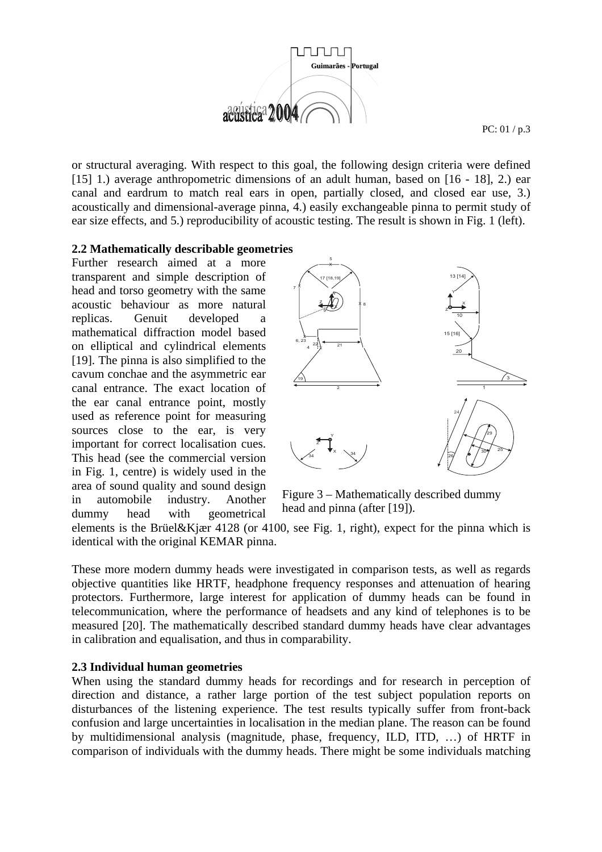

or structural averaging. With respect to this goal, the following design criteria were defined [15] 1.) average anthropometric dimensions of an adult human, based on [16 - 18], 2.) ear canal and eardrum to match real ears in open, partially closed, and closed ear use, 3.) acoustically and dimensional-average pinna, 4.) easily exchangeable pinna to permit study of ear size effects, and 5.) reproducibility of acoustic testing. The result is shown in Fig. 1 (left).

#### **2.2 Mathematically describable geometries**

Further research aimed at a more transparent and simple description of head and torso geometry with the same acoustic behaviour as more natural replicas. Genuit developed a mathematical diffraction model based on elliptical and cylindrical elements [19]. The pinna is also simplified to the cavum conchae and the asymmetric ear canal entrance. The exact location of the ear canal entrance point, mostly used as reference point for measuring sources close to the ear, is very important for correct localisation cues. This head (see the commercial version in Fig. 1, centre) is widely used in the area of sound quality and sound design in automobile industry. Another dummy head with geometrical



Figure 3 – Mathematically described dummy head and pinna (after [19]).

elements is the Brüel&Kjær 4128 (or 4100, see Fig. 1, right), expect for the pinna which is identical with the original KEMAR pinna.

These more modern dummy heads were investigated in comparison tests, as well as regards objective quantities like HRTF, headphone frequency responses and attenuation of hearing protectors. Furthermore, large interest for application of dummy heads can be found in telecommunication, where the performance of headsets and any kind of telephones is to be measured [20]. The mathematically described standard dummy heads have clear advantages in calibration and equalisation, and thus in comparability.

#### **2.3 Individual human geometries**

When using the standard dummy heads for recordings and for research in perception of direction and distance, a rather large portion of the test subject population reports on disturbances of the listening experience. The test results typically suffer from front-back confusion and large uncertainties in localisation in the median plane. The reason can be found by multidimensional analysis (magnitude, phase, frequency, ILD, ITD, …) of HRTF in comparison of individuals with the dummy heads. There might be some individuals matching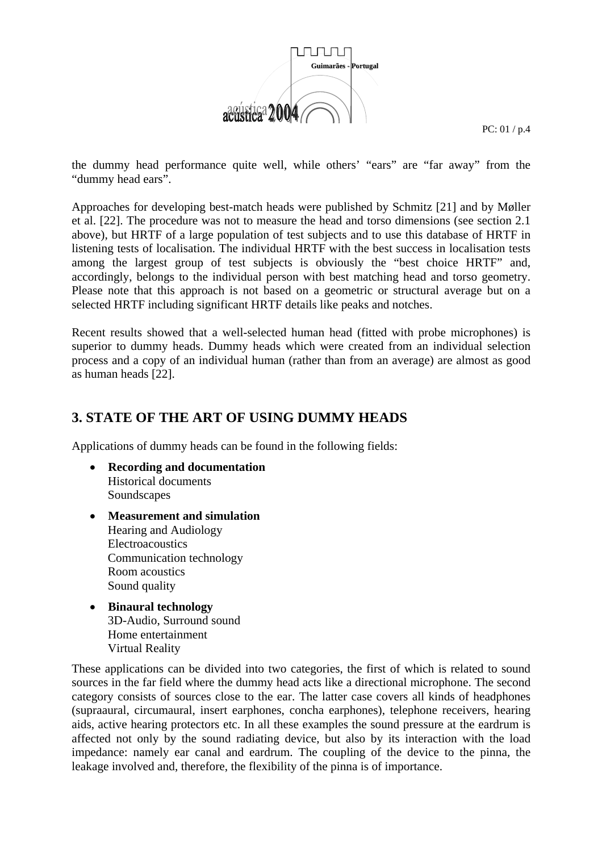

the dummy head performance quite well, while others' "ears" are "far away" from the "dummy head ears".

Approaches for developing best-match heads were published by Schmitz [21] and by Møller et al. [22]. The procedure was not to measure the head and torso dimensions (see section 2.1 above), but HRTF of a large population of test subjects and to use this database of HRTF in listening tests of localisation. The individual HRTF with the best success in localisation tests among the largest group of test subjects is obviously the "best choice HRTF" and, accordingly, belongs to the individual person with best matching head and torso geometry. Please note that this approach is not based on a geometric or structural average but on a selected HRTF including significant HRTF details like peaks and notches.

Recent results showed that a well-selected human head (fitted with probe microphones) is superior to dummy heads. Dummy heads which were created from an individual selection process and a copy of an individual human (rather than from an average) are almost as good as human heads [22].

## **3. STATE OF THE ART OF USING DUMMY HEADS**

Applications of dummy heads can be found in the following fields:

- **Recording and documentation**  Historical documents Soundscapes
- **Measurement and simulation**  Hearing and Audiology Electroacoustics Communication technology Room acoustics Sound quality
- **Binaural technology**  3D-Audio, Surround sound Home entertainment Virtual Reality

These applications can be divided into two categories, the first of which is related to sound sources in the far field where the dummy head acts like a directional microphone. The second category consists of sources close to the ear. The latter case covers all kinds of headphones (supraaural, circumaural, insert earphones, concha earphones), telephone receivers, hearing aids, active hearing protectors etc. In all these examples the sound pressure at the eardrum is affected not only by the sound radiating device, but also by its interaction with the load impedance: namely ear canal and eardrum. The coupling of the device to the pinna, the leakage involved and, therefore, the flexibility of the pinna is of importance.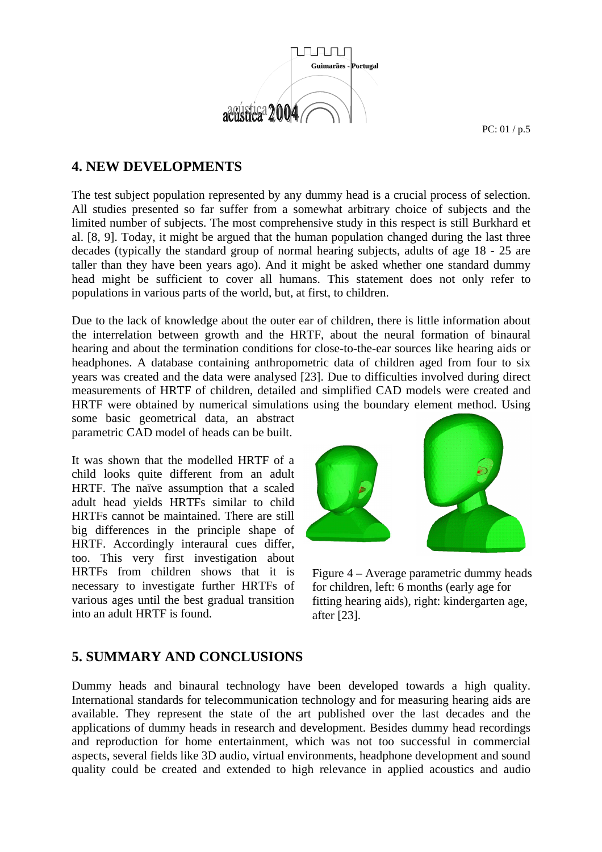

# **4. NEW DEVELOPMENTS**

The test subject population represented by any dummy head is a crucial process of selection. All studies presented so far suffer from a somewhat arbitrary choice of subjects and the limited number of subjects. The most comprehensive study in this respect is still Burkhard et al. [8, 9]. Today, it might be argued that the human population changed during the last three decades (typically the standard group of normal hearing subjects, adults of age 18 - 25 are taller than they have been years ago). And it might be asked whether one standard dummy head might be sufficient to cover all humans. This statement does not only refer to populations in various parts of the world, but, at first, to children.

Due to the lack of knowledge about the outer ear of children, there is little information about the interrelation between growth and the HRTF, about the neural formation of binaural hearing and about the termination conditions for close-to-the-ear sources like hearing aids or headphones. A database containing anthropometric data of children aged from four to six years was created and the data were analysed [23]. Due to difficulties involved during direct measurements of HRTF of children, detailed and simplified CAD models were created and HRTF were obtained by numerical simulations using the boundary element method. Using

some basic geometrical data, an abstract parametric CAD model of heads can be built.

It was shown that the modelled HRTF of a child looks quite different from an adult HRTF. The naïve assumption that a scaled adult head yields HRTFs similar to child HRTFs cannot be maintained. There are still big differences in the principle shape of HRTF. Accordingly interaural cues differ, too. This very first investigation about HRTFs from children shows that it is necessary to investigate further HRTFs of various ages until the best gradual transition into an adult HRTF is found.



Figure 4 – Average parametric dummy heads for children, left: 6 months (early age for fitting hearing aids), right: kindergarten age, after [23].

# **5. SUMMARY AND CONCLUSIONS**

Dummy heads and binaural technology have been developed towards a high quality. International standards for telecommunication technology and for measuring hearing aids are available. They represent the state of the art published over the last decades and the applications of dummy heads in research and development. Besides dummy head recordings and reproduction for home entertainment, which was not too successful in commercial aspects, several fields like 3D audio, virtual environments, headphone development and sound quality could be created and extended to high relevance in applied acoustics and audio